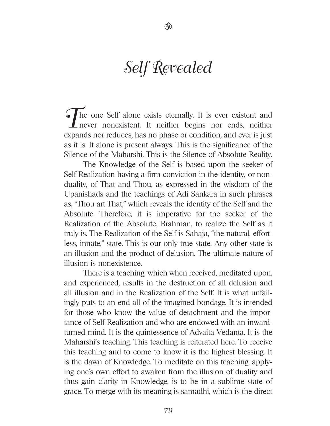# Self Revealed

 $\tilde{\mathfrak{B}}$ 

The one Self alone exists eternally. It is ever existent and never nonexistent. It neither begins nor ends, neither expands nor reduces, has no phase or condition, and ever is just as it is. It alone is present always. This is the significance of the Silence of the Maharshi. This is the Silence of Absolute Reality.

The Knowledge of the Self is based upon the seeker of Self-Realization having a firm conviction in the identity, or nonduality, of That and Thou, as expressed in the wisdom of the Upanishads and the teachings of Adi Sankara in such phrases as, "Thou art That," which reveals the identity of the Self and the Absolute. Therefore, it is imperative for the seeker of the Realization of the Absolute, Brahman, to realize the Self as it truly is. The Realization of the Self is Sahaja, "the natural, effortless, innate," state. This is our only true state. Any other state is an illusion and the product of delusion. The ultimate nature of illusion is nonexistence.

There is a teaching, which when received, meditated upon, and experienced, results in the destruction of all delusion and all illusion and in the Realization of the Self. It is what unfailingly puts to an end all of the imagined bondage. It is intended for those who know the value of detachment and the importance of Self-Realization and who are endowed with an inwardturned mind. It is the quintessence of Advaita Vedanta. It is the Maharshi's teaching. This teaching is reiterated here. To receive this teaching and to come to know it is the highest blessing. It is the dawn of Knowledge. To meditate on this teaching, applying one's own effort to awaken from the illusion of duality and thus gain clarity in Knowledge, is to be in a sublime state of grace. To merge with its meaning is samadhi, which is the direct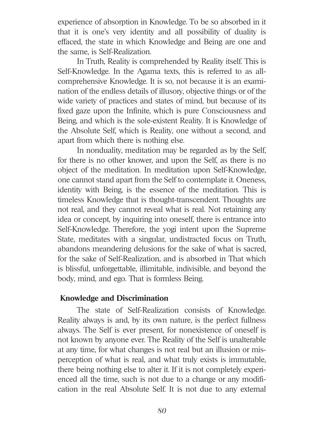experience of absorption in Knowledge. To be so absorbed in it that it is one's very identity and all possibility of duality is effaced, the state in which Knowledge and Being are one and the same, is Self-Realization.

In Truth, Reality is comprehended by Reality itself. This is Self-Knowledge. In the Agama texts, this is referred to as allcomprehensive Knowledge. It is so, not because it is an examination of the endless details of illusory, objective things or of the wide variety of practices and states of mind, but because of its fixed gaze upon the Infinite, which is pure Consciousness and Being, and which is the sole-existent Reality. It is Knowledge of the Absolute Self, which is Reality, one without a second, and apart from which there is nothing else.

In nonduality, meditation may be regarded as by the Self, for there is no other knower, and upon the Self, as there is no object of the meditation. In meditation upon Self-Knowledge, one cannot stand apart from the Self to contemplate it. Oneness, identity with Being, is the essence of the meditation. This is timeless Knowledge that is thought-transcendent. Thoughts are not real, and they cannot reveal what is real. Not retaining any idea or concept, by inquiring into oneself, there is entrance into Self-Knowledge. Therefore, the yogi intent upon the Supreme State, meditates with a singular, undistracted focus on Truth, abandons meandering delusions for the sake of what is sacred, for the sake of Self-Realization, and is absorbed in That which is blissful, unforgettable, illimitable, indivisible, and beyond the body, mind, and ego. That is formless Being.

## **Knowledge and Discrimination**

The state of Self-Realization consists of Knowledge. Reality always is and, by its own nature, is the perfect fullness always. The Self is ever present, for nonexistence of oneself is not known by anyone ever. The Reality of the Self is unalterable at any time, for what changes is not real but an illusion or misperception of what is real, and what truly exists is immutable, there being nothing else to alter it. If it is not completely experienced all the time, such is not due to a change or any modification in the real Absolute Self. It is not due to any external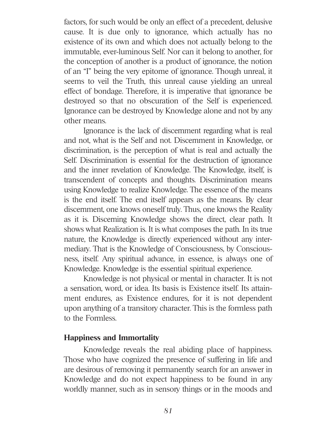factors, for such would be only an effect of a precedent, delusive cause. It is due only to ignorance, which actually has no existence of its own and which does not actually belong to the immutable, ever-luminous Self. Nor can it belong to another, for the conception of another is a product of ignorance, the notion of an "I" being the very epitome of ignorance. Though unreal, it seems to veil the Truth, this unreal cause yielding an unreal effect of bondage. Therefore, it is imperative that ignorance be destroyed so that no obscuration of the Self is experienced. Ignorance can be destroyed by Knowledge alone and not by any other means.

Ignorance is the lack of discernment regarding what is real and not, what is the Self and not. Discernment in Knowledge, or discrimination, is the perception of what is real and actually the Self. Discrimination is essential for the destruction of ignorance and the inner revelation of Knowledge. The Knowledge, itself, is transcendent of concepts and thoughts. Discrimination means using Knowledge to realize Knowledge. The essence of the means is the end itself. The end itself appears as the means. By clear discernment, one knows oneself truly. Thus, one knows the Reality as it is. Discerning Knowledge shows the direct, clear path. It shows what Realization is. It is what composes the path. In its true nature, the Knowledge is directly experienced without any intermediary. That is the Knowledge of Consciousness, by Consciousness, itself. Any spiritual advance, in essence, is always one of Knowledge. Knowledge is the essential spiritual experience.

Knowledge is not physical or mental in character. It is not a sensation, word, or idea. Its basis is Existence itself. Its attainment endures, as Existence endures, for it is not dependent upon anything of a transitory character. This is the formless path to the Formless.

## **Happiness and Immortality**

Knowledge reveals the real abiding place of happiness. Those who have cognized the presence of suffering in life and are desirous of removing it permanently search for an answer in Knowledge and do not expect happiness to be found in any worldly manner, such as in sensory things or in the moods and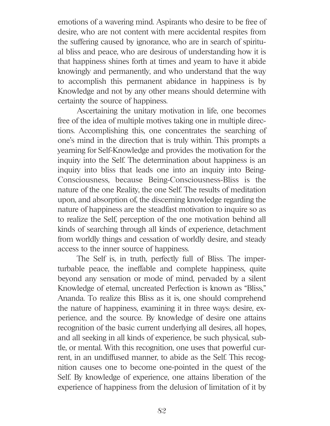emotions of a wavering mind. Aspirants who desire to be free of desire, who are not content with mere accidental respites from the suffering caused by ignorance, who are in search of spiritual bliss and peace, who are desirous of understanding how it is that happiness shines forth at times and yearn to have it abide knowingly and permanently, and who understand that the way to accomplish this permanent abidance in happiness is by Knowledge and not by any other means should determine with certainty the source of happiness.

Ascertaining the unitary motivation in life, one becomes free of the idea of multiple motives taking one in multiple directions. Accomplishing this, one concentrates the searching of one's mind in the direction that is truly within. This prompts a yearning for Self-Knowledge and provides the motivation for the inquiry into the Self. The determination about happiness is an inquiry into bliss that leads one into an inquiry into Being-Consciousness, because Being-Consciousness-Bliss is the nature of the one Reality, the one Self. The results of meditation upon, and absorption of, the discerning knowledge regarding the nature of happiness are the steadfast motivation to inquire so as to realize the Self, perception of the one motivation behind all kinds of searching through all kinds of experience, detachment from worldly things and cessation of worldly desire, and steady access to the inner source of happiness.

The Self is, in truth, perfectly full of Bliss. The imperturbable peace, the ineffable and complete happiness, quite beyond any sensation or mode of mind, pervaded by a silent Knowledge of eternal, uncreated Perfection is known as "Bliss," Ananda. To realize this Bliss as it is, one should comprehend the nature of happiness, examining it in three ways: desire, experience, and the source. By knowledge of desire one attains recognition of the basic current underlying all desires, all hopes, and all seeking in all kinds of experience, be such physical, subtle, or mental. With this recognition, one uses that powerful current, in an undiffused manner, to abide as the Self. This recognition causes one to become one-pointed in the quest of the Self. By knowledge of experience, one attains liberation of the experience of happiness from the delusion of limitation of it by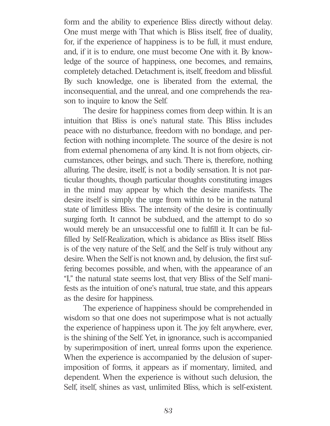form and the ability to experience Bliss directly without delay. One must merge with That which is Bliss itself, free of duality, for, if the experience of happiness is to be full, it must endure, and, if it is to endure, one must become One with it. By knowledge of the source of happiness, one becomes, and remains, completely detached. Detachment is, itself, freedom and blissful. By such knowledge, one is liberated from the external, the inconsequential, and the unreal, and one comprehends the reason to inquire to know the Self.

The desire for happiness comes from deep within. It is an intuition that Bliss is one's natural state. This Bliss includes peace with no disturbance, freedom with no bondage, and perfection with nothing incomplete. The source of the desire is not from external phenomena of any kind. It is not from objects, circumstances, other beings, and such. There is, therefore, nothing alluring. The desire, itself, is not a bodily sensation. It is not particular thoughts, though particular thoughts constituting images in the mind may appear by which the desire manifests. The desire itself is simply the urge from within to be in the natural state of limitless Bliss. The intensity of the desire is continually surging forth. It cannot be subdued, and the attempt to do so would merely be an unsuccessful one to fulfill it. It can be fulfilled by Self-Realization, which is abidance as Bliss itself. Bliss is of the very nature of the Self, and the Self is truly without any desire. When the Self is not known and, by delusion, the first suffering becomes possible, and when, with the appearance of an "I," the natural state seems lost, that very Bliss of the Self manifests as the intuition of one's natural, true state, and this appears as the desire for happiness.

The experience of happiness should be comprehended in wisdom so that one does not superimpose what is not actually the experience of happiness upon it. The joy felt anywhere, ever, is the shining of the Self. Yet, in ignorance, such is accompanied by superimposition of inert, unreal forms upon the experience. When the experience is accompanied by the delusion of superimposition of forms, it appears as if momentary, limited, and dependent. When the experience is without such delusion, the Self, itself, shines as vast, unlimited Bliss, which is self-existent.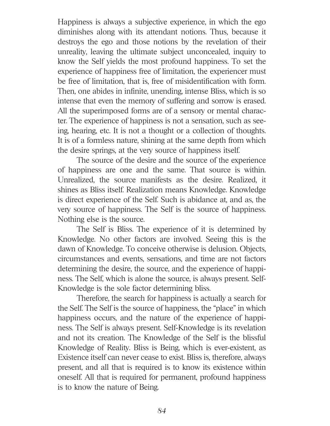Happiness is always a subjective experience, in which the ego diminishes along with its attendant notions. Thus, because it destroys the ego and those notions by the revelation of their unreality, leaving the ultimate subject unconcealed, inquiry to know the Self yields the most profound happiness. To set the experience of happiness free of limitation, the experiencer must be free of limitation, that is, free of misidentification with form. Then, one abides in infinite, unending, intense Bliss, which is so intense that even the memory of suffering and sorrow is erased. All the superimposed forms are of a sensory or mental character. The experience of happiness is not a sensation, such as seeing, hearing, etc. It is not a thought or a collection of thoughts. It is of a formless nature, shining at the same depth from which the desire springs, at the very source of happiness itself.

The source of the desire and the source of the experience of happiness are one and the same. That source is within. Unrealized, the source manifests as the desire. Realized, it shines as Bliss itself. Realization means Knowledge. Knowledge is direct experience of the Self. Such is abidance at, and as, the very source of happiness. The Self is the source of happiness. Nothing else is the source.

The Self is Bliss. The experience of it is determined by Knowledge. No other factors are involved. Seeing this is the dawn of Knowledge. To conceive otherwise is delusion. Objects, circumstances and events, sensations, and time are not factors determining the desire, the source, and the experience of happiness. The Self, which is alone the source, is always present. Self-Knowledge is the sole factor determining bliss.

Therefore, the search for happiness is actually a search for the Self. The Self is the source of happiness, the "place" in which happiness occurs, and the nature of the experience of happiness. The Self is always present. Self-Knowledge is its revelation and not its creation. The Knowledge of the Self is the blissful Knowledge of Reality. Bliss is Being, which is ever-existent, as Existence itself can never cease to exist. Bliss is, therefore, always present, and all that is required is to know its existence within oneself. All that is required for permanent, profound happiness is to know the nature of Being.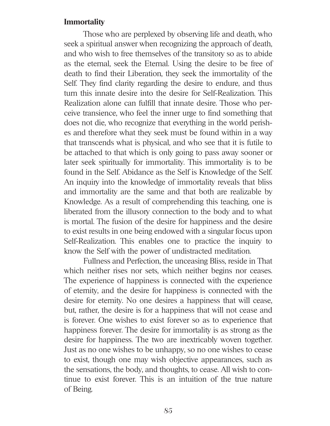#### **Immortality**

Those who are perplexed by observing life and death, who seek a spiritual answer when recognizing the approach of death, and who wish to free themselves of the transitory so as to abide as the eternal, seek the Eternal. Using the desire to be free of death to find their Liberation, they seek the immortality of the Self. They find clarity regarding the desire to endure, and thus turn this innate desire into the desire for Self-Realization. This Realization alone can fulfill that innate desire. Those who perceive transience, who feel the inner urge to find something that does not die, who recognize that everything in the world perishes and therefore what they seek must be found within in a way that transcends what is physical, and who see that it is futile to be attached to that which is only going to pass away sooner or later seek spiritually for immortality. This immortality is to be found in the Self. Abidance as the Self is Knowledge of the Self. An inquiry into the knowledge of immortality reveals that bliss and immortality are the same and that both are realizable by Knowledge. As a result of comprehending this teaching, one is liberated from the illusory connection to the body and to what is mortal. The fusion of the desire for happiness and the desire to exist results in one being endowed with a singular focus upon Self-Realization. This enables one to practice the inquiry to know the Self with the power of undistracted meditation.

Fullness and Perfection, the unceasing Bliss, reside in That which neither rises nor sets, which neither begins nor ceases. The experience of happiness is connected with the experience of eternity, and the desire for happiness is connected with the desire for eternity. No one desires a happiness that will cease, but, rather, the desire is for a happiness that will not cease and is forever. One wishes to exist forever so as to experience that happiness forever. The desire for immortality is as strong as the desire for happiness. The two are inextricably woven together. Just as no one wishes to be unhappy, so no one wishes to cease to exist, though one may wish objective appearances, such as the sensations, the body, and thoughts, to cease. All wish to continue to exist forever. This is an intuition of the true nature of Being.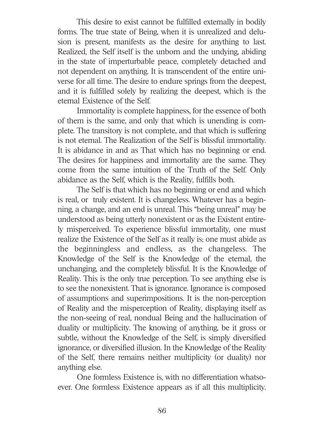This desire to exist cannot be fulfilled externally in bodily forms. The true state of Being, when it is unrealized and delusion is present, manifests as the desire for anything to last. Realized, the Self itself is the unborn and the undying, abiding in the state of imperturbable peace, completely detached and not dependent on anything. It is transcendent of the entire universe for all time. The desire to endure springs from the deepest, and it is fulfilled solely by realizing the deepest, which is the eternal Existence of the Self.

Immortality is complete happiness, for the essence of both of them is the same, and only that which is unending is complete. The transitory is not complete, and that which is suffering is not eternal. The Realization of the Self is blissful immortality. It is abidance in and as That which has no beginning or end. The desires for happiness and immortality are the same. They come from the same intuition of the Truth of the Self. Only abidance as the Self, which is the Reality, fulfills both.

The Self is that which has no beginning or end and which is real, or truly existent. It is changeless. Whatever has a beginning, a change, and an end is unreal. This "being unreal" may be understood as being utterly nonexistent or as the Existent entirely misperceived. To experience blissful immortality, one must realize the Existence of the Self as it really is; one must abide as the beginningless and endless, as the changeless. The Knowledge of the Self is the Knowledge of the eternal, the unchanging, and the completely blissful. It is the Knowledge of Reality. This is the only true perception. To see anything else is to see the nonexistent. That is ignorance. Ignorance is composed of assumptions and superimpositions. It is the non-perception of Reality and the misperception of Reality, displaying itself as the non-seeing of real, nondual Being and the hallucination of duality or multiplicity. The knowing of anything, be it gross or subtle, without the Knowledge of the Self, is simply diversified ignorance, or diversified illusion. In the Knowledge of the Reality of the Self, there remains neither multiplicity (or duality) nor anything else.

One formless Existence is, with no differentiation whatsoever. One formless Existence appears as if all this multiplicity.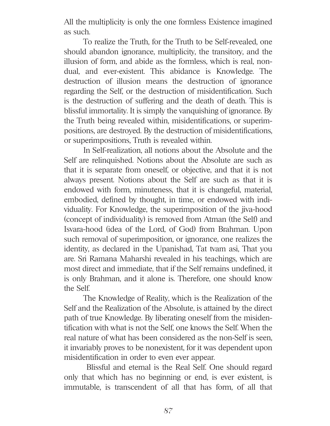All the multiplicity is only the one formless Existence imagined as such.

To realize the Truth, for the Truth to be Self-revealed, one should abandon ignorance, multiplicity, the transitory, and the illusion of form, and abide as the formless, which is real, nondual, and ever-existent. This abidance is Knowledge. The destruction of illusion means the destruction of ignorance regarding the Self, or the destruction of misidentification. Such is the destruction of suffering and the death of death. This is blissful immortality. It is simply the vanquishing of ignorance. By the Truth being revealed within, misidentifications, or superimpositions, are destroyed. By the destruction of misidentifications, or superimpositions, Truth is revealed within.

In Self-realization, all notions about the Absolute and the Self are relinquished. Notions about the Absolute are such as that it is separate from oneself, or objective, and that it is not always present. Notions about the Self are such as that it is endowed with form, minuteness, that it is changeful, material, embodied, defined by thought, in time, or endowed with individuality. For Knowledge, the superimposition of the jiva-hood (concept of individuality) is removed from Atman (the Self) and Isvara-hood (idea of the Lord, of God) from Brahman. Upon such removal of superimposition, or ignorance, one realizes the identity, as declared in the Upanishad, Tat tvam asi, That you are. Sri Ramana Maharshi revealed in his teachings, which are most direct and immediate, that if the Self remains undefined, it is only Brahman, and it alone is. Therefore, one should know the Self.

The Knowledge of Reality, which is the Realization of the Self and the Realization of the Absolute, is attained by the direct path of true Knowledge. By liberating oneself from the misidentification with what is not the Self, one knows the Self. When the real nature of what has been considered as the non-Self is seen, it invariably proves to be nonexistent, for it was dependent upon misidentification in order to even ever appear.

Blissful and eternal is the Real Self. One should regard only that which has no beginning or end, is ever existent, is immutable, is transcendent of all that has form, of all that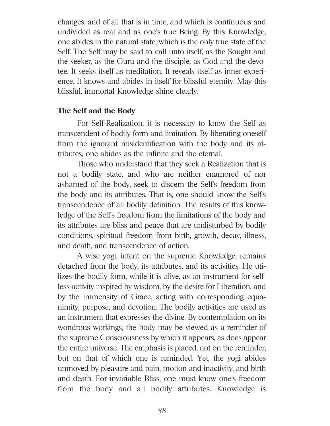changes, and of all that is in time, and which is continuous and undivided as real and as one's true Being. By this Knowledge, one abides in the natural state, which is the only true state of the Self. The Self may be said to call unto itself, as the Sought and the seeker, as the Guru and the disciple, as God and the devotee. It seeks itself as meditation. It reveals itself as inner experience. It knows and abides in itself for blissful eternity. May this blissful, immortal Knowledge shine clearly.

## **The Self and the Body**

For Self-Realization, it is necessary to know the Self as transcendent of bodily form and limitation. By liberating oneself from the ignorant misidentification with the body and its attributes, one abides as the infinite and the eternal.

Those who understand that they seek a Realization that is not a bodily state, and who are neither enamored of nor ashamed of the body, seek to discern the Self's freedom from the body and its attributes. That is, one should know the Self's transcendence of all bodily definition. The results of this knowledge of the Self's freedom from the limitations of the body and its attributes are bliss and peace that are undisturbed by bodily conditions, spiritual freedom from birth, growth, decay, illness, and death, and transcendence of action.

A wise yogi, intent on the supreme Knowledge, remains detached from the body, its attributes, and its activities. He utilizes the bodily form, while it is alive, as an instrument for selfless activity inspired by wisdom, by the desire for Liberation, and by the immensity of Grace, acting with corresponding equanimity, purpose, and devotion. The bodily activities are used as an instrument that expresses the divine. By contemplation on its wondrous workings, the body may be viewed as a reminder of the supreme Consciousness by which it appears, as does appear the entire universe. The emphasis is placed, not on the reminder, but on that of which one is reminded. Yet, the yogi abides unmoved by pleasure and pain, motion and inactivity, and birth and death. For invariable Bliss, one must know one's freedom from the body and all bodily attributes. Knowledge is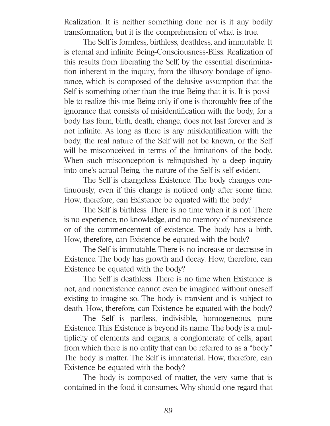Realization. It is neither something done nor is it any bodily transformation, but it is the comprehension of what is true.

The Self is formless, birthless, deathless, and immutable. It is eternal and infinite Being-Consciousness-Bliss. Realization of this results from liberating the Self, by the essential discrimination inherent in the inquiry, from the illusory bondage of ignorance, which is composed of the delusive assumption that the Self is something other than the true Being that it is. It is possible to realize this true Being only if one is thoroughly free of the ignorance that consists of misidentification with the body, for a body has form, birth, death, change, does not last forever and is not infinite. As long as there is any misidentification with the body, the real nature of the Self will not be known, or the Self will be misconceived in terms of the limitations of the body. When such misconception is relinquished by a deep inquiry into one's actual Being, the nature of the Self is self-evident.

The Self is changeless Existence. The body changes continuously, even if this change is noticed only after some time. How, therefore, can Existence be equated with the body?

The Self is birthless. There is no time when it is not. There is no experience, no knowledge, and no memory of nonexistence or of the commencement of existence. The body has a birth. How, therefore, can Existence be equated with the body?

The Self is immutable. There is no increase or decrease in Existence. The body has growth and decay. How, therefore, can Existence be equated with the body?

The Self is deathless. There is no time when Existence is not, and nonexistence cannot even be imagined without oneself existing to imagine so. The body is transient and is subject to death. How, therefore, can Existence be equated with the body?

The Self is partless, indivisible, homogeneous, pure Existence. This Existence is beyond its name. The body is a multiplicity of elements and organs, a conglomerate of cells, apart from which there is no entity that can be referred to as a "body." The body is matter. The Self is immaterial. How, therefore, can Existence be equated with the body?

The body is composed of matter, the very same that is contained in the food it consumes. Why should one regard that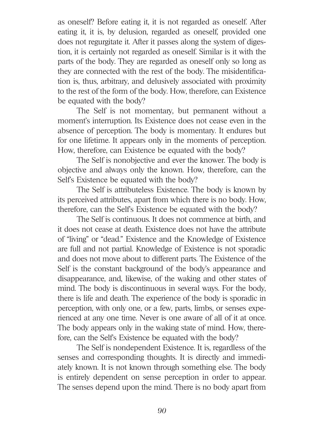as oneself? Before eating it, it is not regarded as oneself. After eating it, it is, by delusion, regarded as oneself, provided one does not regurgitate it. After it passes along the system of digestion, it is certainly not regarded as oneself. Similar is it with the parts of the body. They are regarded as oneself only so long as they are connected with the rest of the body. The misidentification is, thus, arbitrary, and delusively associated with proximity to the rest of the form of the body. How, therefore, can Existence be equated with the body?

The Self is not momentary, but permanent without a moment's interruption. Its Existence does not cease even in the absence of perception. The body is momentary. It endures but for one lifetime. It appears only in the moments of perception. How, therefore, can Existence be equated with the body?

The Self is nonobjective and ever the knower. The body is objective and always only the known. How, therefore, can the Self's Existence be equated with the body?

The Self is attributeless Existence. The body is known by its perceived attributes, apart from which there is no body. How, therefore, can the Self's Existence be equated with the body?

The Self is continuous. It does not commence at birth, and it does not cease at death. Existence does not have the attribute of "living" or "dead." Existence and the Knowledge of Existence are full and not partial. Knowledge of Existence is not sporadic and does not move about to different parts. The Existence of the Self is the constant background of the body's appearance and disappearance, and, likewise, of the waking and other states of mind. The body is discontinuous in several ways. For the body, there is life and death. The experience of the body is sporadic in perception, with only one, or a few, parts, limbs, or senses experienced at any one time. Never is one aware of all of it at once. The body appears only in the waking state of mind. How, therefore, can the Self's Existence be equated with the body?

The Self is nondependent Existence. It is, regardless of the senses and corresponding thoughts. It is directly and immediately known. It is not known through something else. The body is entirely dependent on sense perception in order to appear. The senses depend upon the mind. There is no body apart from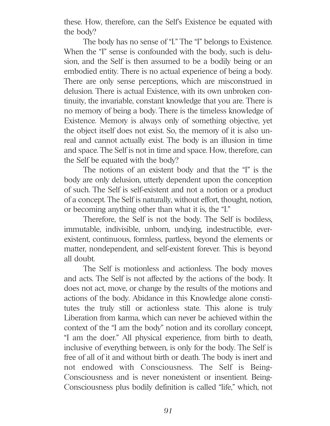these. How, therefore, can the Self's Existence be equated with the body?

The body has no sense of "I." The "I" belongs to Existence. When the "I" sense is confounded with the body, such is delusion, and the Self is then assumed to be a bodily being or an embodied entity. There is no actual experience of being a body. There are only sense perceptions, which are misconstrued in delusion. There is actual Existence, with its own unbroken continuity, the invariable, constant knowledge that you are. There is no memory of being a body. There is the timeless knowledge of Existence. Memory is always only of something objective, yet the object itself does not exist. So, the memory of it is also unreal and cannot actually exist. The body is an illusion in time and space. The Self is not in time and space. How, therefore, can the Self be equated with the body?

The notions of an existent body and that the "I" is the body are only delusion, utterly dependent upon the conception of such. The Self is self-existent and not a notion or a product of a concept. The Self is naturally, without effort, thought, notion, or becoming anything other than what it is, the "I."

Therefore, the Self is not the body. The Self is bodiless, immutable, indivisible, unborn, undying, indestructible, everexistent, continuous, formless, partless, beyond the elements or matter, nondependent, and self-existent forever. This is beyond all doubt.

The Self is motionless and actionless. The body moves and acts. The Self is not affected by the actions of the body. It does not act, move, or change by the results of the motions and actions of the body. Abidance in this Knowledge alone constitutes the truly still or actionless state. This alone is truly Liberation from karma, which can never be achieved within the context of the "I am the body" notion and its corollary concept, "I am the doer." All physical experience, from birth to death, inclusive of everything between, is only for the body. The Self is free of all of it and without birth or death. The body is inert and not endowed with Consciousness. The Self is Being-Consciousness and is never nonexistent or insentient. Being-Consciousness plus bodily definition is called "life," which, not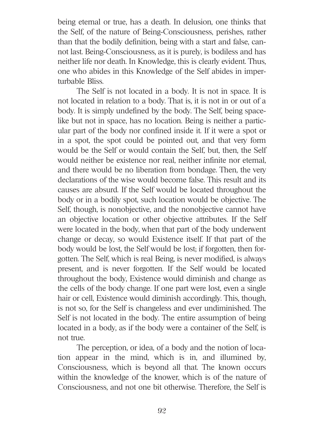being eternal or true, has a death. In delusion, one thinks that the Self, of the nature of Being-Consciousness, perishes, rather than that the bodily definition, being with a start and false, cannot last. Being-Consciousness, as it is purely, is bodiless and has neither life nor death. In Knowledge, this is clearly evident. Thus, one who abides in this Knowledge of the Self abides in imperturbable Bliss.

The Self is not located in a body. It is not in space. It is not located in relation to a body. That is, it is not in or out of a body. It is simply undefined by the body. The Self, being spacelike but not in space, has no location. Being is neither a particular part of the body nor confined inside it. If it were a spot or in a spot, the spot could be pointed out, and that very form would be the Self or would contain the Self, but, then, the Self would neither be existence nor real, neither infinite nor eternal, and there would be no liberation from bondage. Then, the very declarations of the wise would become false. This result and its causes are absurd. If the Self would be located throughout the body or in a bodily spot, such location would be objective. The Self, though, is nonobjective, and the nonobjective cannot have an objective location or other objective attributes. If the Self were located in the body, when that part of the body underwent change or decay, so would Existence itself. If that part of the body would be lost, the Self would be lost; if forgotten, then forgotten. The Self, which is real Being, is never modified, is always present, and is never forgotten. If the Self would be located throughout the body, Existence would diminish and change as the cells of the body change. If one part were lost, even a single hair or cell, Existence would diminish accordingly. This, though, is not so, for the Self is changeless and ever undiminished. The Self is not located in the body. The entire assumption of being located in a body, as if the body were a container of the Self, is not true.

The perception, or idea, of a body and the notion of location appear in the mind, which is in, and illumined by, Consciousness, which is beyond all that. The known occurs within the knowledge of the knower, which is of the nature of Consciousness, and not one bit otherwise. Therefore, the Self is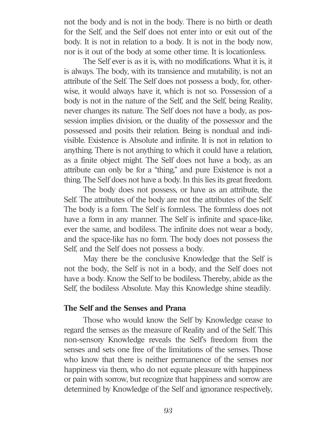not the body and is not in the body. There is no birth or death for the Self, and the Self does not enter into or exit out of the body. It is not in relation to a body. It is not in the body now, nor is it out of the body at some other time. It is locationless.

The Self ever is as it is, with no modifications. What it is, it is always. The body, with its transience and mutability, is not an attribute of the Self. The Self does not possess a body, for, otherwise, it would always have it, which is not so. Possession of a body is not in the nature of the Self, and the Self, being Reality, never changes its nature. The Self does not have a body, as possession implies division, or the duality of the possessor and the possessed and posits their relation. Being is nondual and indivisible. Existence is Absolute and infinite. It is not in relation to anything. There is not anything to which it could have a relation, as a finite object might. The Self does not have a body, as an attribute can only be for a "thing," and pure Existence is not a thing. The Self does not have a body. In this lies its great freedom.

The body does not possess, or have as an attribute, the Self. The attributes of the body are not the attributes of the Self. The body is a form. The Self is formless. The formless does not have a form in any manner. The Self is infinite and space-like, ever the same, and bodiless. The infinite does not wear a body, and the space-like has no form. The body does not possess the Self, and the Self does not possess a body.

May there be the conclusive Knowledge that the Self is not the body, the Self is not in a body, and the Self does not have a body. Know the Self to be bodiless. Thereby, abide as the Self, the bodiless Absolute. May this Knowledge shine steadily.

#### **The Self and the Senses and Prana**

Those who would know the Self by Knowledge cease to regard the senses as the measure of Reality and of the Self. This non-sensory Knowledge reveals the Self's freedom from the senses and sets one free of the limitations of the senses. Those who know that there is neither permanence of the senses nor happiness via them, who do not equate pleasure with happiness or pain with sorrow, but recognize that happiness and sorrow are determined by Knowledge of the Self and ignorance respectively,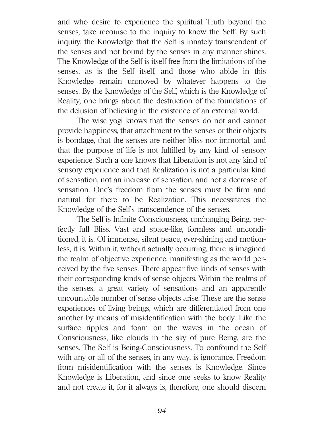and who desire to experience the spiritual Truth beyond the senses, take recourse to the inquiry to know the Self. By such inquiry, the Knowledge that the Self is innately transcendent of the senses and not bound by the senses in any manner shines. The Knowledge of the Self is itself free from the limitations of the senses, as is the Self itself, and those who abide in this Knowledge remain unmoved by whatever happens to the senses. By the Knowledge of the Self, which is the Knowledge of Reality, one brings about the destruction of the foundations of the delusion of believing in the existence of an external world.

The wise yogi knows that the senses do not and cannot provide happiness, that attachment to the senses or their objects is bondage, that the senses are neither bliss nor immortal, and that the purpose of life is not fulfilled by any kind of sensory experience. Such a one knows that Liberation is not any kind of sensory experience and that Realization is not a particular kind of sensation, not an increase of sensation, and not a decrease of sensation. One's freedom from the senses must be firm and natural for there to be Realization. This necessitates the Knowledge of the Self's transcendence of the senses.

The Self is Infinite Consciousness, unchanging Being, perfectly full Bliss. Vast and space-like, formless and unconditioned, it is. Of immense, silent peace, ever-shining and motionless, it is. Within it, without actually occurring, there is imagined the realm of objective experience, manifesting as the world perceived by the five senses. There appear five kinds of senses with their corresponding kinds of sense objects. Within the realms of the senses, a great variety of sensations and an apparently uncountable number of sense objects arise. These are the sense experiences of living beings, which are differentiated from one another by means of misidentification with the body. Like the surface ripples and foam on the waves in the ocean of Consciousness, like clouds in the sky of pure Being, are the senses. The Self is Being-Consciousness. To confound the Self with any or all of the senses, in any way, is ignorance. Freedom from misidentification with the senses is Knowledge. Since Knowledge is Liberation, and since one seeks to know Reality and not create it, for it always is, therefore, one should discern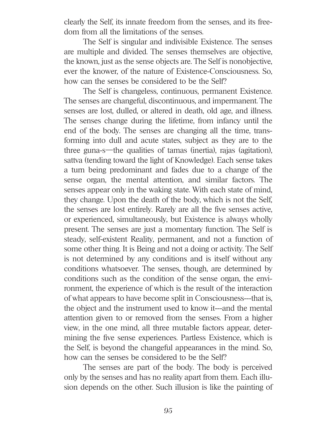clearly the Self, its innate freedom from the senses, and its freedom from all the limitations of the senses.

The Self is singular and indivisible Existence. The senses are multiple and divided. The senses themselves are objective, the known, just as the sense objects are. The Self is nonobjective, ever the knower, of the nature of Existence-Consciousness. So, how can the senses be considered to be the Self?

The Self is changeless, continuous, permanent Existence. The senses are changeful, discontinuous, and impermanent. The senses are lost, dulled, or altered in death, old age, and illness. The senses change during the lifetime, from infancy until the end of the body. The senses are changing all the time, transforming into dull and acute states, subject as they are to the three guna-s—the qualities of tamas (inertia), rajas (agitation), sattva (tending toward the light of Knowledge). Each sense takes a turn being predominant and fades due to a change of the sense organ, the mental attention, and similar factors. The senses appear only in the waking state. With each state of mind, they change. Upon the death of the body, which is not the Self, the senses are lost entirely. Rarely are all the five senses active, or experienced, simultaneously, but Existence is always wholly present. The senses are just a momentary function. The Self is steady, self-existent Reality, permanent, and not a function of some other thing. It is Being and not a doing or activity. The Self is not determined by any conditions and is itself without any conditions whatsoever. The senses, though, are determined by conditions such as the condition of the sense organ, the environment, the experience of which is the result of the interaction of what appears to have become split in Consciousness---that is, the object and the instrument used to know it---and the mental attention given to or removed from the senses. From a higher view, in the one mind, all three mutable factors appear, determining the five sense experiences. Partless Existence, which is the Self, is beyond the changeful appearances in the mind. So, how can the senses be considered to be the Self?

The senses are part of the body. The body is perceived only by the senses and has no reality apart from them. Each illusion depends on the other. Such illusion is like the painting of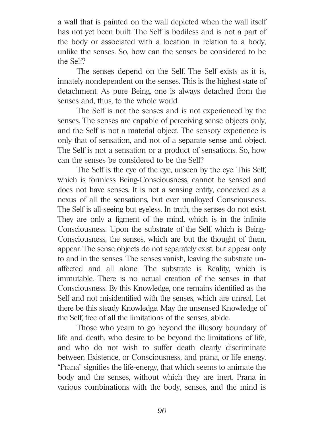a wall that is painted on the wall depicted when the wall itself has not yet been built. The Self is bodiless and is not a part of the body or associated with a location in relation to a body, unlike the senses. So, how can the senses be considered to be the Self?

The senses depend on the Self. The Self exists as it is, innately nondependent on the senses. This is the highest state of detachment. As pure Being, one is always detached from the senses and, thus, to the whole world.

The Self is not the senses and is not experienced by the senses. The senses are capable of perceiving sense objects only, and the Self is not a material object. The sensory experience is only that of sensation, and not of a separate sense and object. The Self is not a sensation or a product of sensations. So, how can the senses be considered to be the Self?

The Self is the eye of the eye, unseen by the eye. This Self, which is formless Being-Consciousness, cannot be sensed and does not have senses. It is not a sensing entity, conceived as a nexus of all the sensations, but ever unalloyed Consciousness. The Self is all-seeing but eyeless. In truth, the senses do not exist. They are only a figment of the mind, which is in the infinite Consciousness. Upon the substrate of the Self, which is Being-Consciousness, the senses, which are but the thought of them, appear. The sense objects do not separately exist, but appear only to and in the senses. The senses vanish, leaving the substrate unaffected and all alone. The substrate is Reality, which is immutable. There is no actual creation of the senses in that Consciousness. By this Knowledge, one remains identified as the Self and not misidentified with the senses, which are unreal. Let there be this steady Knowledge. May the unsensed Knowledge of the Self, free of all the limitations of the senses, abide.

Those who yearn to go beyond the illusory boundary of life and death, who desire to be beyond the limitations of life, and who do not wish to suffer death clearly discriminate between Existence, or Consciousness, and prana, or life energy. "Prana" signifies the life-energy, that which seems to animate the body and the senses, without which they are inert. Prana in various combinations with the body, senses, and the mind is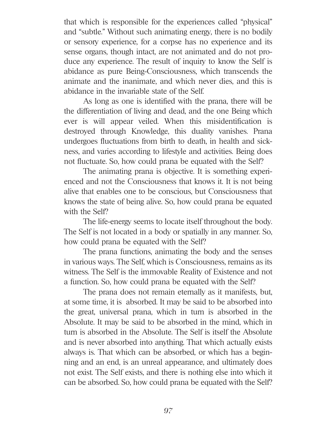that which is responsible for the experiences called "physical" and "subtle." Without such animating energy, there is no bodily or sensory experience, for a corpse has no experience and its sense organs, though intact, are not animated and do not produce any experience. The result of inquiry to know the Self is abidance as pure Being-Consciousness, which transcends the animate and the inanimate, and which never dies, and this is abidance in the invariable state of the Self.

As long as one is identified with the prana, there will be the differentiation of living and dead, and the one Being which ever is will appear veiled. When this misidentification is destroyed through Knowledge, this duality vanishes. Prana undergoes fluctuations from birth to death, in health and sickness, and varies according to lifestyle and activities. Being does not fluctuate. So, how could prana be equated with the Self?

The animating prana is objective. It is something experienced and not the Consciousness that knows it. It is not being alive that enables one to be conscious, but Consciousness that knows the state of being alive. So, how could prana be equated with the Self?

The life-energy seems to locate itself throughout the body. The Self is not located in a body or spatially in any manner. So, how could prana be equated with the Self?

The prana functions, animating the body and the senses in various ways. The Self, which is Consciousness, remains as its witness. The Self is the immovable Reality of Existence and not a function. So, how could prana be equated with the Self?

The prana does not remain eternally as it manifests, but, at some time, it is absorbed. It may be said to be absorbed into the great, universal prana, which in turn is absorbed in the Absolute. It may be said to be absorbed in the mind, which in turn is absorbed in the Absolute. The Self is itself the Absolute and is never absorbed into anything. That which actually exists always is. That which can be absorbed, or which has a beginning and an end, is an unreal appearance, and ultimately does not exist. The Self exists, and there is nothing else into which it can be absorbed. So, how could prana be equated with the Self?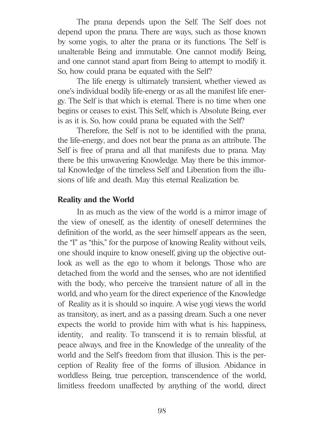The prana depends upon the Self. The Self does not depend upon the prana. There are ways, such as those known by some yogis, to alter the prana or its functions. The Self is unalterable Being and immutable. One cannot modify Being, and one cannot stand apart from Being to attempt to modify it. So, how could prana be equated with the Self?

The life energy is ultimately transient, whether viewed as one's individual bodily life-energy or as all the manifest life energy. The Self is that which is eternal. There is no time when one begins or ceases to exist. This Self, which is Absolute Being, ever is as it is. So, how could prana be equated with the Self?

Therefore, the Self is not to be identified with the prana, the life-energy, and does not bear the prana as an attribute. The Self is free of prana and all that manifests due to prana. May there be this unwavering Knowledge. May there be this immortal Knowledge of the timeless Self and Liberation from the illusions of life and death. May this eternal Realization be.

#### **Reality and the World**

In as much as the view of the world is a mirror image of the view of oneself, as the identity of oneself determines the definition of the world, as the seer himself appears as the seen, the "I" as "this," for the purpose of knowing Reality without veils, one should inquire to know oneself, giving up the objective outlook as well as the ego to whom it belongs. Those who are detached from the world and the senses, who are not identified with the body, who perceive the transient nature of all in the world, and who yearn for the direct experience of the Knowledge of Reality as it is should so inquire. A wise yogi views the world as transitory, as inert, and as a passing dream. Such a one never expects the world to provide him with what is his: happiness, identity, and reality. To transcend it is to remain blissful, at peace always, and free in the Knowledge of the unreality of the world and the Self's freedom from that illusion. This is the perception of Reality free of the forms of illusion. Abidance in worldless Being, true perception, transcendence of the world, limitless freedom unaffected by anything of the world, direct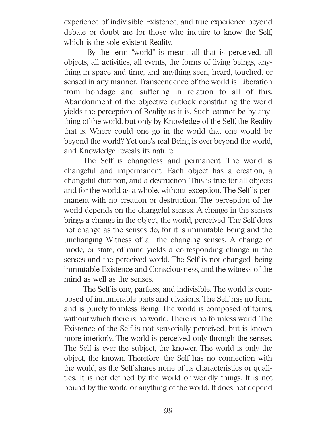experience of indivisible Existence, and true experience beyond debate or doubt are for those who inquire to know the Self, which is the sole-existent Reality.

By the term "world" is meant all that is perceived, all objects, all activities, all events, the forms of living beings, anything in space and time, and anything seen, heard, touched, or sensed in any manner. Transcendence of the world is Liberation from bondage and suffering in relation to all of this. Abandonment of the objective outlook constituting the world yields the perception of Reality as it is. Such cannot be by anything of the world, but only by Knowledge of the Self, the Reality that is. Where could one go in the world that one would be beyond the world? Yet one's real Being is ever beyond the world, and Knowledge reveals its nature.

The Self is changeless and permanent. The world is changeful and impermanent. Each object has a creation, a changeful duration, and a destruction. This is true for all objects and for the world as a whole, without exception. The Self is permanent with no creation or destruction. The perception of the world depends on the changeful senses. A change in the senses brings a change in the object, the world, perceived. The Self does not change as the senses do, for it is immutable Being and the unchanging Witness of all the changing senses. A change of mode, or state, of mind yields a corresponding change in the senses and the perceived world. The Self is not changed, being immutable Existence and Consciousness, and the witness of the mind as well as the senses.

The Self is one, partless, and indivisible. The world is composed of innumerable parts and divisions. The Self has no form, and is purely formless Being. The world is composed of forms, without which there is no world. There is no formless world. The Existence of the Self is not sensorially perceived, but is known more interiorly. The world is perceived only through the senses. The Self is ever the subject, the knower. The world is only the object, the known. Therefore, the Self has no connection with the world, as the Self shares none of its characteristics or qualities. It is not defined by the world or worldly things. It is not bound by the world or anything of the world. It does not depend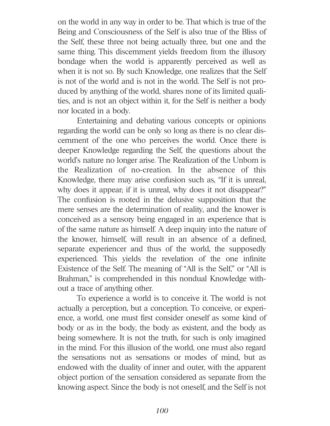on the world in any way in order to be. That which is true of the Being and Consciousness of the Self is also true of the Bliss of the Self, these three not being actually three, but one and the same thing. This discernment yields freedom from the illusory bondage when the world is apparently perceived as well as when it is not so. By such Knowledge, one realizes that the Self is not of the world and is not in the world. The Self is not produced by anything of the world, shares none of its limited qualities, and is not an object within it, for the Self is neither a body nor located in a body.

Entertaining and debating various concepts or opinions regarding the world can be only so long as there is no clear discernment of the one who perceives the world. Once there is deeper Knowledge regarding the Self, the questions about the world's nature no longer arise. The Realization of the Unborn is the Realization of no-creation. In the absence of this Knowledge, there may arise confusion such as, "If it is unreal, why does it appear; if it is unreal, why does it not disappear?" The confusion is rooted in the delusive supposition that the mere senses are the determination of reality, and the knower is conceived as a sensory being engaged in an experience that is of the same nature as himself. A deep inquiry into the nature of the knower, himself, will result in an absence of a defined, separate experiencer and thus of the world, the supposedly experienced. This yields the revelation of the one infinite Existence of the Self. The meaning of "All is the Self," or "All is Brahman," is comprehended in this nondual Knowledge without a trace of anything other.

To experience a world is to conceive it. The world is not actually a perception, but a conception. To conceive, or experience, a world, one must first consider oneself as some kind of body or as in the body, the body as existent, and the body as being somewhere. It is not the truth, for such is only imagined in the mind. For this illusion of the world, one must also regard the sensations not as sensations or modes of mind, but as endowed with the duality of inner and outer, with the apparent object portion of the sensation considered as separate from the knowing aspect. Since the body is not oneself, and the Self is not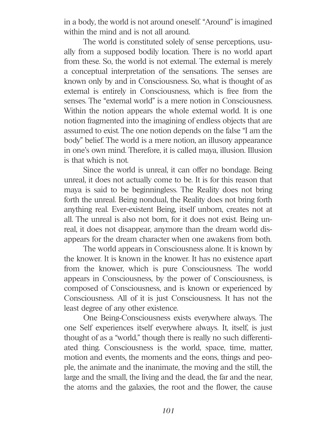in a body, the world is not around oneself. "Around" is imagined within the mind and is not all around.

The world is constituted solely of sense perceptions, usually from a supposed bodily location. There is no world apart from these. So, the world is not external. The external is merely a conceptual interpretation of the sensations. The senses are known only by and in Consciousness. So, what is thought of as external is entirely in Consciousness, which is free from the senses. The "external world" is a mere notion in Consciousness. Within the notion appears the whole external world. It is one notion fragmented into the imagining of endless objects that are assumed to exist. The one notion depends on the false "I am the body" belief. The world is a mere notion, an illusory appearance in one's own mind. Therefore, it is called maya, illusion. Illusion is that which is not.

Since the world is unreal, it can offer no bondage. Being unreal, it does not actually come to be. It is for this reason that maya is said to be beginningless. The Reality does not bring forth the unreal. Being nondual, the Reality does not bring forth anything real. Ever-existent Being, itself unborn, creates not at all. The unreal is also not born, for it does not exist. Being unreal, it does not disappear, anymore than the dream world disappears for the dream character when one awakens from both.

The world appears in Consciousness alone. It is known by the knower. It is known in the knower. It has no existence apart from the knower, which is pure Consciousness. The world appears in Consciousness, by the power of Consciousness, is composed of Consciousness, and is known or experienced by Consciousness. All of it is just Consciousness. It has not the least degree of any other existence.

One Being-Consciousness exists everywhere always. The one Self experiences itself everywhere always. It, itself, is just thought of as a "world," though there is really no such differentiated thing. Consciousness is the world, space, time, matter, motion and events, the moments and the eons, things and people, the animate and the inanimate, the moving and the still, the large and the small, the living and the dead, the far and the near, the atoms and the galaxies, the root and the flower, the cause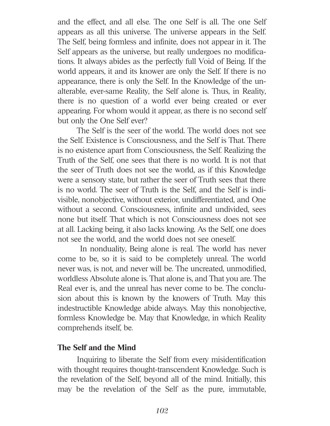and the effect, and all else. The one Self is all. The one Self appears as all this universe. The universe appears in the Self. The Self, being formless and infinite, does not appear in it. The Self appears as the universe, but really undergoes no modifications. It always abides as the perfectly full Void of Being. If the world appears, it and its knower are only the Self. If there is no appearance, there is only the Self. In the Knowledge of the unalterable, ever-same Reality, the Self alone is. Thus, in Reality, there is no question of a world ever being created or ever appearing. For whom would it appear, as there is no second self but only the One Self ever?

The Self is the seer of the world. The world does not see the Self. Existence is Consciousness, and the Self is That. There is no existence apart from Consciousness, the Self. Realizing the Truth of the Self, one sees that there is no world. It is not that the seer of Truth does not see the world, as if this Knowledge were a sensory state, but rather the seer of Truth sees that there is no world. The seer of Truth is the Self, and the Self is indivisible, nonobjective, without exterior, undifferentiated, and One without a second. Consciousness, infinite and undivided, sees none but itself. That which is not Consciousness does not see at all. Lacking being, it also lacks knowing. As the Self, one does not see the world, and the world does not see oneself.

In nonduality, Being alone is real. The world has never come to be, so it is said to be completely unreal. The world never was, is not, and never will be. The uncreated, unmodified, worldless Absolute alone is. That alone is, and That you are. The Real ever is, and the unreal has never come to be. The conclusion about this is known by the knowers of Truth. May this indestructible Knowledge abide always. May this nonobjective, formless Knowledge be. May that Knowledge, in which Reality comprehends itself, be.

#### **The Self and the Mind**

Inquiring to liberate the Self from every misidentification with thought requires thought-transcendent Knowledge. Such is the revelation of the Self, beyond all of the mind. Initially, this may be the revelation of the Self as the pure, immutable,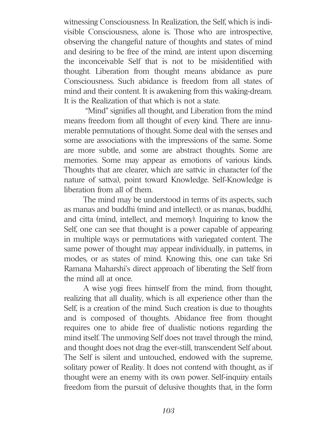witnessing Consciousness. In Realization, the Self, which is indivisible Consciousness, alone is. Those who are introspective, observing the changeful nature of thoughts and states of mind and desiring to be free of the mind, are intent upon discerning the inconceivable Self that is not to be misidentified with thought. Liberation from thought means abidance as pure Consciousness. Such abidance is freedom from all states of mind and their content. It is awakening from this waking-dream. It is the Realization of that which is not a state.

"Mind" signifies all thought, and Liberation from the mind means freedom from all thought of every kind. There are innumerable permutations of thought. Some deal with the senses and some are associations with the impressions of the same. Some are more subtle, and some are abstract thoughts. Some are memories. Some may appear as emotions of various kinds. Thoughts that are clearer, which are sattvic in character (of the nature of sattva), point toward Knowledge. Self-Knowledge is liberation from all of them.

The mind may be understood in terms of its aspects, such as manas and buddhi (mind and intellect), or as manas, buddhi, and citta (mind, intellect, and memory). Inquiring to know the Self, one can see that thought is a power capable of appearing in multiple ways or permutations with variegated content. The same power of thought may appear individually, in patterns, in modes, or as states of mind. Knowing this, one can take Sri Ramana Maharshi's direct approach of liberating the Self from the mind all at once.

A wise yogi frees himself from the mind, from thought, realizing that all duality, which is all experience other than the Self, is a creation of the mind. Such creation is due to thoughts and is composed of thoughts. Abidance free from thought requires one to abide free of dualistic notions regarding the mind itself. The unmoving Self does not travel through the mind, and thought does not drag the ever-still, transcendent Self about. The Self is silent and untouched, endowed with the supreme, solitary power of Reality. It does not contend with thought, as if thought were an enemy with its own power. Self-inquiry entails freedom from the pursuit of delusive thoughts that, in the form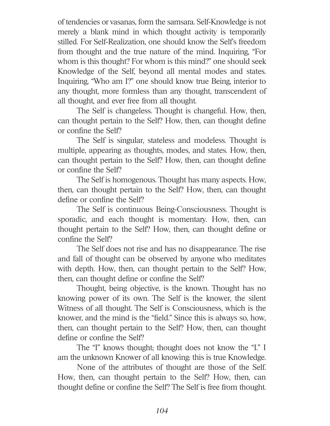of tendencies or vasanas, form the samsara. Self-Knowledge is not merely a blank mind in which thought activity is temporarily stilled. For Self-Realization, one should know the Self's freedom from thought and the true nature of the mind. Inquiring, "For whom is this thought? For whom is this mind?" one should seek Knowledge of the Self, beyond all mental modes and states. Inquiring, "Who am I?" one should know true Being, interior to any thought, more formless than any thought, transcendent of all thought, and ever free from all thought.

The Self is changeless. Thought is changeful. How, then, can thought pertain to the Self? How, then, can thought define or confine the Self?

The Self is singular, stateless and modeless. Thought is multiple, appearing as thoughts, modes, and states. How, then, can thought pertain to the Self? How, then, can thought define or confine the Self?

The Self is homogenous. Thought has many aspects. How, then, can thought pertain to the Self? How, then, can thought define or confine the Self?

The Self is continuous Being-Consciousness. Thought is sporadic, and each thought is momentary. How, then, can thought pertain to the Self? How, then, can thought define or confine the Self?

The Self does not rise and has no disappearance. The rise and fall of thought can be observed by anyone who meditates with depth. How, then, can thought pertain to the Self? How, then, can thought define or confine the Self?

Thought, being objective, is the known. Thought has no knowing power of its own. The Self is the knower, the silent Witness of all thought. The Self is Consciousness, which is the knower, and the mind is the "field." Since this is always so, how, then, can thought pertain to the Self? How, then, can thought define or confine the Self?

The "I" knows thought; thought does not know the "I." I am the unknown Knower of all knowing: this is true Knowledge.

None of the attributes of thought are those of the Self. How, then, can thought pertain to the Self? How, then, can thought define or confine the Self? The Self is free from thought.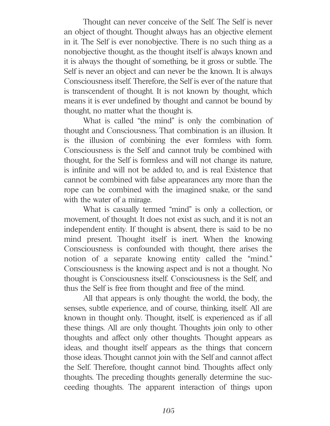Thought can never conceive of the Self. The Self is never an object of thought. Thought always has an objective element in it. The Self is ever nonobjective. There is no such thing as a nonobjective thought, as the thought itself is always known and it is always the thought of something, be it gross or subtle. The Self is never an object and can never be the known. It is always Consciousness itself. Therefore, the Self is ever of the nature that is transcendent of thought. It is not known by thought, which means it is ever undefined by thought and cannot be bound by thought, no matter what the thought is.

What is called "the mind" is only the combination of thought and Consciousness. That combination is an illusion. It is the illusion of combining the ever formless with form. Consciousness is the Self and cannot truly be combined with thought, for the Self is formless and will not change its nature, is infinite and will not be added to, and is real Existence that cannot be combined with false appearances any more than the rope can be combined with the imagined snake, or the sand with the water of a mirage.

What is casually termed "mind" is only a collection, or movement, of thought. It does not exist as such, and it is not an independent entity. If thought is absent, there is said to be no mind present. Thought itself is inert. When the knowing Consciousness is confounded with thought, there arises the notion of a separate knowing entity called the "mind." Consciousness is the knowing aspect and is not a thought. No thought is Consciousness itself. Consciousness is the Self, and thus the Self is free from thought and free of the mind.

All that appears is only thought: the world, the body, the senses, subtle experience, and of course, thinking, itself. All are known in thought only. Thought, itself, is experienced as if all these things. All are only thought. Thoughts join only to other thoughts and affect only other thoughts. Thought appears as ideas, and thought itself appears as the things that concern those ideas. Thought cannot join with the Self and cannot affect the Self. Therefore, thought cannot bind. Thoughts affect only thoughts. The preceding thoughts generally determine the succeeding thoughts. The apparent interaction of things upon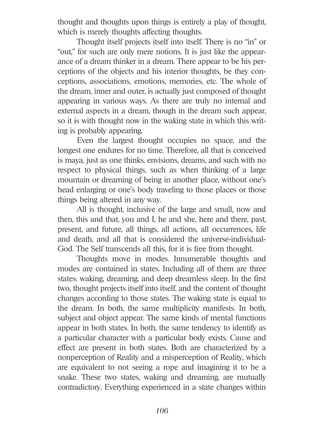thought and thoughts upon things is entirely a play of thought, which is merely thoughts affecting thoughts.

Thought itself projects itself into itself. There is no "in" or "out," for such are only mere notions. It is just like the appearance of a dream thinker in a dream. There appear to be his perceptions of the objects and his interior thoughts, be they conceptions, associations, emotions, memories, etc. The whole of the dream, inner and outer, is actually just composed of thought appearing in various ways. As there are truly no internal and external aspects in a dream, though in the dream such appear, so it is with thought now in the waking state in which this writing is probably appearing.

Even the largest thought occupies no space, and the longest one endures for no time. Therefore, all that is conceived is maya, just as one thinks, envisions, dreams, and such with no respect to physical things, such as when thinking of a large mountain or dreaming of being in another place, without one's head enlarging or one's body traveling to those places or those things being altered in any way.

All is thought, inclusive of the large and small, now and then, this and that, you and I, he and she, here and there, past, present, and future, all things, all actions, all occurrences, life and death, and all that is considered the universe-individual-God. The Self transcends all this, for it is free from thought.

Thoughts move in modes. Innumerable thoughts and modes are contained in states. Including all of them are three states: waking, dreaming, and deep dreamless sleep. In the first two, thought projects itself into itself, and the content of thought changes according to those states. The waking state is equal to the dream. In both, the same multiplicity manifests. In both, subject and object appear. The same kinds of mental functions appear in both states. In both, the same tendency to identify as a particular character with a particular body exists. Cause and effect are present in both states. Both are characterized by a nonperception of Reality and a misperception of Reality, which are equivalent to not seeing a rope and imagining it to be a snake. These two states, waking and dreaming, are mutually contradictory. Everything experienced in a state changes within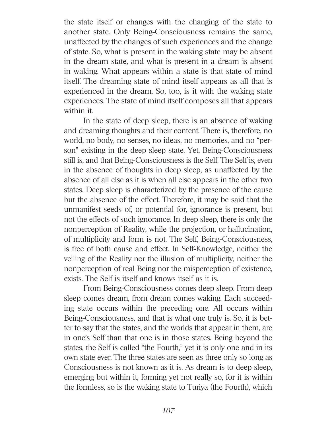the state itself or changes with the changing of the state to another state. Only Being-Consciousness remains the same, unaffected by the changes of such experiences and the change of state. So, what is present in the waking state may be absent in the dream state, and what is present in a dream is absent in waking. What appears within a state is that state of mind itself. The dreaming state of mind itself appears as all that is experienced in the dream. So, too, is it with the waking state experiences. The state of mind itself composes all that appears within it.

In the state of deep sleep, there is an absence of waking and dreaming thoughts and their content. There is, therefore, no world, no body, no senses, no ideas, no memories, and no "person" existing in the deep sleep state. Yet, Being-Consciousness still is, and that Being-Consciousness is the Self. The Self is, even in the absence of thoughts in deep sleep, as unaffected by the absence of all else as it is when all else appears in the other two states. Deep sleep is characterized by the presence of the cause but the absence of the effect. Therefore, it may be said that the unmanifest seeds of, or potential for, ignorance is present, but not the effects of such ignorance. In deep sleep, there is only the nonperception of Reality, while the projection, or hallucination, of multiplicity and form is not. The Self, Being-Consciousness, is free of both cause and effect. In Self-Knowledge, neither the veiling of the Reality nor the illusion of multiplicity, neither the nonperception of real Being nor the misperception of existence, exists. The Self is itself and knows itself as it is.

From Being-Consciousness comes deep sleep. From deep sleep comes dream, from dream comes waking. Each succeeding state occurs within the preceding one. All occurs within Being-Consciousness, and that is what one truly is. So, it is better to say that the states, and the worlds that appear in them, are in one's Self than that one is in those states. Being beyond the states, the Self is called "the Fourth," yet it is only one and in its own state ever. The three states are seen as three only so long as Consciousness is not known as it is. As dream is to deep sleep, emerging but within it, forming yet not really so, for it is within the formless, so is the waking state to Turiya (the Fourth), which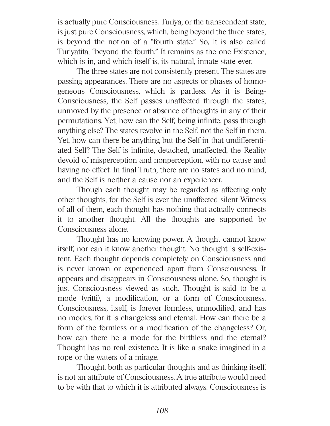is actually pure Consciousness. Turiya, or the transcendent state, is just pure Consciousness, which, being beyond the three states, is beyond the notion of a "fourth state." So, it is also called Turiyatita, "beyond the fourth." It remains as the one Existence, which is in, and which itself is, its natural, innate state ever.

The three states are not consistently present. The states are passing appearances. There are no aspects or phases of homogeneous Consciousness, which is partless. As it is Being-Consciousness, the Self passes unaffected through the states, unmoved by the presence or absence of thoughts in any of their permutations. Yet, how can the Self, being infinite, pass through anything else? The states revolve in the Self, not the Self in them. Yet, how can there be anything but the Self in that undifferentiated Self? The Self is infinite, detached, unaffected, the Reality devoid of misperception and nonperception, with no cause and having no effect. In final Truth, there are no states and no mind, and the Self is neither a cause nor an experiencer.

Though each thought may be regarded as affecting only other thoughts, for the Self is ever the unaffected silent Witness of all of them, each thought has nothing that actually connects it to another thought. All the thoughts are supported by Consciousness alone.

Thought has no knowing power. A thought cannot know itself, nor can it know another thought. No thought is self-existent. Each thought depends completely on Consciousness and is never known or experienced apart from Consciousness. It appears and disappears in Consciousness alone. So, thought is just Consciousness viewed as such. Thought is said to be a mode (vritti), a modification, or a form of Consciousness. Consciousness, itself, is forever formless, unmodified, and has no modes, for it is changeless and eternal. How can there be a form of the formless or a modification of the changeless? Or, how can there be a mode for the birthless and the eternal? Thought has no real existence. It is like a snake imagined in a rope or the waters of a mirage.

Thought, both as particular thoughts and as thinking itself, is not an attribute of Consciousness. A true attribute would need to be with that to which it is attributed always. Consciousness is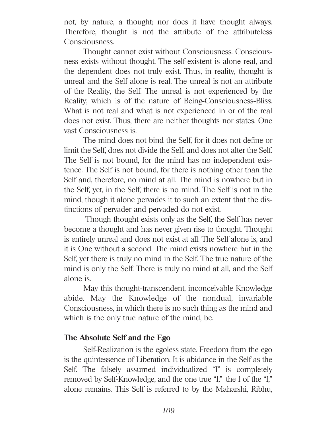not, by nature, a thought; nor does it have thought always. Therefore, thought is not the attribute of the attributeless Consciousness.

Thought cannot exist without Consciousness. Consciousness exists without thought. The self-existent is alone real, and the dependent does not truly exist. Thus, in reality, thought is unreal and the Self alone is real. The unreal is not an attribute of the Reality, the Self. The unreal is not experienced by the Reality, which is of the nature of Being-Consciousness-Bliss. What is not real and what is not experienced in or of the real does not exist. Thus, there are neither thoughts nor states. One vast Consciousness is.

The mind does not bind the Self, for it does not define or limit the Self, does not divide the Self, and does not alter the Self. The Self is not bound, for the mind has no independent existence. The Self is not bound, for there is nothing other than the Self and, therefore, no mind at all. The mind is nowhere but in the Self, yet, in the Self, there is no mind. The Self is not in the mind, though it alone pervades it to such an extent that the distinctions of pervader and pervaded do not exist.

Though thought exists only as the Self, the Self has never become a thought and has never given rise to thought. Thought is entirely unreal and does not exist at all. The Self alone is, and it is One without a second. The mind exists nowhere but in the Self, yet there is truly no mind in the Self. The true nature of the mind is only the Self. There is truly no mind at all, and the Self alone is.

May this thought-transcendent, inconceivable Knowledge abide. May the Knowledge of the nondual, invariable Consciousness, in which there is no such thing as the mind and which is the only true nature of the mind, be.

# **The Absolute Self and the Ego**

Self-Realization is the egoless state. Freedom from the ego is the quintessence of Liberation. It is abidance in the Self as the Self. The falsely assumed individualized "I" is completely removed by Self-Knowledge, and the one true "I," the I of the "I," alone remains. This Self is referred to by the Maharshi, Ribhu,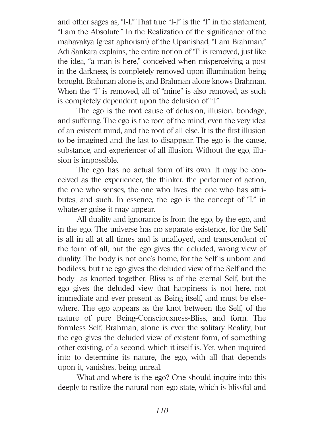and other sages as, "I-I." That true "I-I" is the "I" in the statement, "I am the Absolute." In the Realization of the significance of the mahavakya (great aphorism) of the Upanishad, "I am Brahman," Adi Sankara explains, the entire notion of "I" is removed, just like the idea, "a man is here," conceived when misperceiving a post in the darkness, is completely removed upon illumination being brought. Brahman alone is, and Brahman alone knows Brahman. When the "I" is removed, all of "mine" is also removed, as such is completely dependent upon the delusion of "I."

The ego is the root cause of delusion, illusion, bondage, and suffering. The ego is the root of the mind, even the very idea of an existent mind, and the root of all else. It is the first illusion to be imagined and the last to disappear. The ego is the cause, substance, and experiencer of all illusion. Without the ego, illusion is impossible.

The ego has no actual form of its own. It may be conceived as the experiencer, the thinker, the performer of action, the one who senses, the one who lives, the one who has attributes, and such. In essence, the ego is the concept of "I," in whatever guise it may appear.

All duality and ignorance is from the ego, by the ego, and in the ego. The universe has no separate existence, for the Self is all in all at all times and is unalloyed, and transcendent of the form of all, but the ego gives the deluded, wrong view of duality. The body is not one's home, for the Self is unborn and bodiless, but the ego gives the deluded view of the Self and the body as knotted together. Bliss is of the eternal Self, but the ego gives the deluded view that happiness is not here, not immediate and ever present as Being itself, and must be elsewhere. The ego appears as the knot between the Self, of the nature of pure Being-Consciousness-Bliss, and form. The formless Self, Brahman, alone is ever the solitary Reality, but the ego gives the deluded view of existent form, of something other existing, of a second, which it itself is. Yet, when inquired into to determine its nature, the ego, with all that depends upon it, vanishes, being unreal.

What and where is the ego? One should inquire into this deeply to realize the natural non-ego state, which is blissful and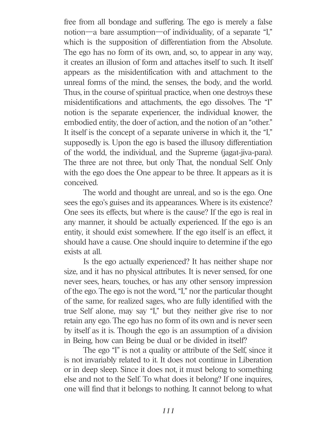free from all bondage and suffering. The ego is merely a false notion—a bare assumption—of individuality, of a separate "I," which is the supposition of differentiation from the Absolute. The ego has no form of its own, and, so, to appear in any way, it creates an illusion of form and attaches itself to such. It itself appears as the misidentification with and attachment to the unreal forms of the mind, the senses, the body, and the world. Thus, in the course of spiritual practice, when one destroys these misidentifications and attachments, the ego dissolves. The "I" notion is the separate experiencer, the individual knower, the embodied entity, the doer of action, and the notion of an "other." It itself is the concept of a separate universe in which it, the "I," supposedly is. Upon the ego is based the illusory differentiation of the world, the individual, and the Supreme (jagat-jiva-para). The three are not three, but only That, the nondual Self. Only with the ego does the One appear to be three. It appears as it is conceived.

The world and thought are unreal, and so is the ego. One sees the ego's guises and its appearances. Where is its existence? One sees its effects, but where is the cause? If the ego is real in any manner, it should be actually experienced. If the ego is an entity, it should exist somewhere. If the ego itself is an effect, it should have a cause. One should inquire to determine if the ego exists at all.

Is the ego actually experienced? It has neither shape nor size, and it has no physical attributes. It is never sensed, for one never sees, hears, touches, or has any other sensory impression of the ego. The ego is not the word, "I," nor the particular thought of the same, for realized sages, who are fully identified with the true Self alone, may say "I," but they neither give rise to nor retain any ego. The ego has no form of its own and is never seen by itself as it is. Though the ego is an assumption of a division in Being, how can Being be dual or be divided in itself?

The ego "I" is not a quality or attribute of the Self, since it is not invariably related to it. It does not continue in Liberation or in deep sleep. Since it does not, it must belong to something else and not to the Self. To what does it belong? If one inquires, one will find that it belongs to nothing. It cannot belong to what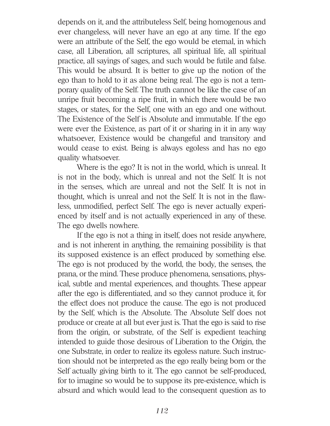depends on it, and the attributeless Self, being homogenous and ever changeless, will never have an ego at any time. If the ego were an attribute of the Self, the ego would be eternal, in which case, all Liberation, all scriptures, all spiritual life, all spiritual practice, all sayings of sages, and such would be futile and false. This would be absurd. It is better to give up the notion of the ego than to hold to it as alone being real. The ego is not a temporary quality of the Self. The truth cannot be like the case of an unripe fruit becoming a ripe fruit, in which there would be two stages, or states, for the Self, one with an ego and one without. The Existence of the Self is Absolute and immutable. If the ego were ever the Existence, as part of it or sharing in it in any way whatsoever, Existence would be changeful and transitory and would cease to exist. Being is always egoless and has no ego quality whatsoever.

Where is the ego? It is not in the world, which is unreal. It is not in the body, which is unreal and not the Self. It is not in the senses, which are unreal and not the Self. It is not in thought, which is unreal and not the Self. It is not in the flawless, unmodified, perfect Self. The ego is never actually experienced by itself and is not actually experienced in any of these. The ego dwells nowhere.

If the ego is not a thing in itself, does not reside anywhere, and is not inherent in anything, the remaining possibility is that its supposed existence is an effect produced by something else. The ego is not produced by the world, the body, the senses, the prana, or the mind. These produce phenomena, sensations, physical, subtle and mental experiences, and thoughts. These appear after the ego is differentiated, and so they cannot produce it, for the effect does not produce the cause. The ego is not produced by the Self, which is the Absolute. The Absolute Self does not produce or create at all but ever just is. That the ego is said to rise from the origin, or substrate, of the Self is expedient teaching intended to guide those desirous of Liberation to the Origin, the one Substrate, in order to realize its egoless nature. Such instruction should not be interpreted as the ego really being born or the Self actually giving birth to it. The ego cannot be self-produced, for to imagine so would be to suppose its pre-existence, which is absurd and which would lead to the consequent question as to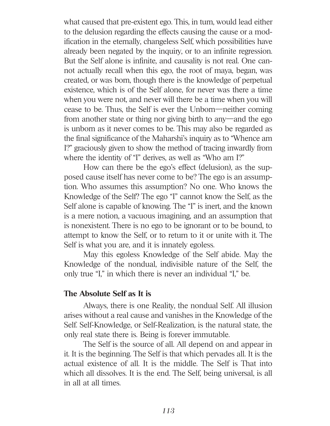what caused that pre-existent ego. This, in turn, would lead either to the delusion regarding the effects causing the cause or a modification in the eternally, changeless Self, which possibilities have already been negated by the inquiry, or to an infinite regression. But the Self alone is infinite, and causality is not real. One cannot actually recall when this ego, the root of maya, began, was created, or was born, though there is the knowledge of perpetual existence, which is of the Self alone, for never was there a time when you were not, and never will there be a time when you will cease to be. Thus, the Self is ever the Unborn—neither coming from another state or thing nor giving birth to any—and the ego is unborn as it never comes to be. This may also be regarded as the final significance of the Maharshi's inquiry as to "Whence am I?" graciously given to show the method of tracing inwardly from where the identity of "I" derives, as well as "Who am I?"

How can there be the ego's effect (delusion), as the supposed cause itself has never come to be? The ego is an assumption. Who assumes this assumption? No one. Who knows the Knowledge of the Self? The ego "I" cannot know the Self, as the Self alone is capable of knowing. The "I" is inert, and the known is a mere notion, a vacuous imagining, and an assumption that is nonexistent. There is no ego to be ignorant or to be bound, to attempt to know the Self, or to return to it or unite with it. The Self is what you are, and it is innately egoless.

May this egoless Knowledge of the Self abide. May the Knowledge of the nondual, indivisible nature of the Self, the only true "I," in which there is never an individual "I," be.

# **The Absolute Self as It is**

Always, there is one Reality, the nondual Self. All illusion arises without a real cause and vanishes in the Knowledge of the Self. Self-Knowledge, or Self-Realization, is the natural state, the only real state there is. Being is forever immutable.

The Self is the source of all. All depend on and appear in it. It is the beginning. The Self is that which pervades all. It is the actual existence of all. It is the middle. The Self is That into which all dissolves. It is the end. The Self, being universal, is all in all at all times.